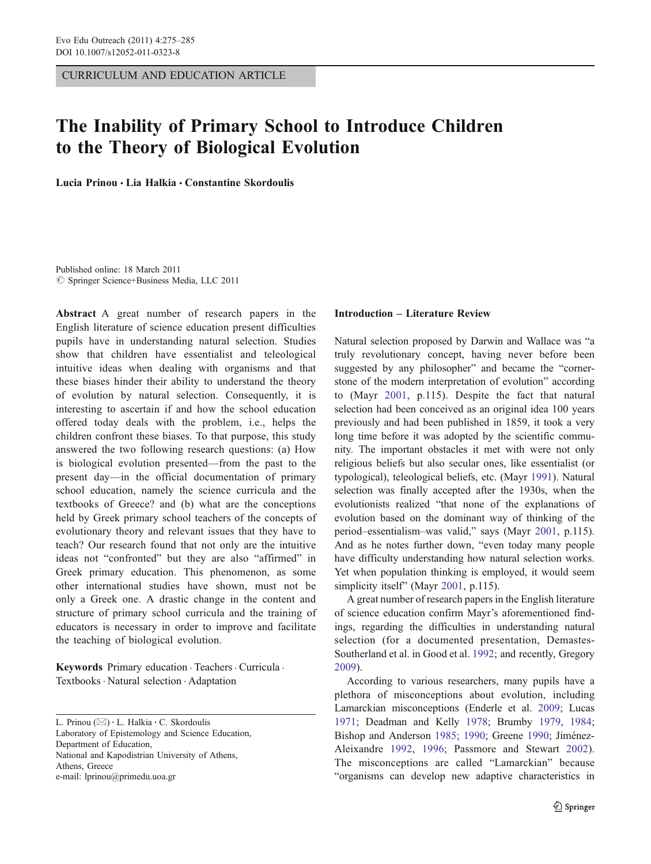<span id="page-0-0"></span>CURRICULUM AND EDUCATION ARTICLE

# The Inability of Primary School to Introduce Children to the Theory of Biological Evolution

Lucia Prinou · Lia Halkia · Constantine Skordoulis

Published online: 18 March 2011  $©$  Springer Science+Business Media, LLC 2011

Abstract A great number of research papers in the English literature of science education present difficulties pupils have in understanding natural selection. Studies show that children have essentialist and teleological intuitive ideas when dealing with organisms and that these biases hinder their ability to understand the theory of evolution by natural selection. Consequently, it is interesting to ascertain if and how the school education offered today deals with the problem, i.e., helps the children confront these biases. To that purpose, this study answered the two following research questions: (a) How is biological evolution presented—from the past to the present day—in the official documentation of primary school education, namely the science curricula and the textbooks of Greece? and (b) what are the conceptions held by Greek primary school teachers of the concepts of evolutionary theory and relevant issues that they have to teach? Our research found that not only are the intuitive ideas not "confronted" but they are also "affirmed" in Greek primary education. This phenomenon, as some other international studies have shown, must not be only a Greek one. A drastic change in the content and structure of primary school curricula and the training of educators is necessary in order to improve and facilitate the teaching of biological evolution.

Keywords Primary education · Teachers · Curricula · Textbooks. Natural selection . Adaptation

Laboratory of Epistemology and Science Education,

Department of Education,

National and Kapodistrian University of Athens, Athens, Greece e-mail: lprinou@primedu.uoa.gr

#### Introduction – Literature Review

Natural selection proposed by Darwin and Wallace was "a truly revolutionary concept, having never before been suggested by any philosopher" and became the "cornerstone of the modern interpretation of evolution" according to (Mayr [2001,](#page-10-0) p.115). Despite the fact that natural selection had been conceived as an original idea 100 years previously and had been published in 1859, it took a very long time before it was adopted by the scientific community. The important obstacles it met with were not only religious beliefs but also secular ones, like essentialist (or typological), teleological beliefs, etc. (Mayr [1991\)](#page-10-0). Natural selection was finally accepted after the 1930s, when the evolutionists realized "that none of the explanations of evolution based on the dominant way of thinking of the period–essentialism–was valid," says (Mayr [2001,](#page-10-0) p.115). And as he notes further down, "even today many people have difficulty understanding how natural selection works. Yet when population thinking is employed, it would seem simplicity itself" (Mayr [2001,](#page-10-0) p.115).

A great number of research papers in the English literature of science education confirm Mayr's aforementioned findings, regarding the difficulties in understanding natural selection (for a documented presentation, Demastes-Southerland et al. in Good et al. [1992](#page-10-0); and recently, Gregory [2009](#page-10-0)).

According to various researchers, many pupils have a plethora of misconceptions about evolution, including Lamarckian misconceptions (Enderle et al. [2009;](#page-10-0) Lucas [1971](#page-10-0); Deadman and Kelly [1978](#page-10-0); Brumby [1979](#page-10-0), [1984;](#page-10-0) Bishop and Anderson [1985;](#page-10-0) [1990](#page-10-0); Greene [1990](#page-10-0); Jiménez-Aleixandre [1992](#page-10-0), [1996](#page-10-0); Passmore and Stewart [2002](#page-10-0)). The misconceptions are called "Lamarckian" because "organisms can develop new adaptive characteristics in

L. Prinou  $(\boxtimes) \cdot$  L. Halkia  $\cdot$  C. Skordoulis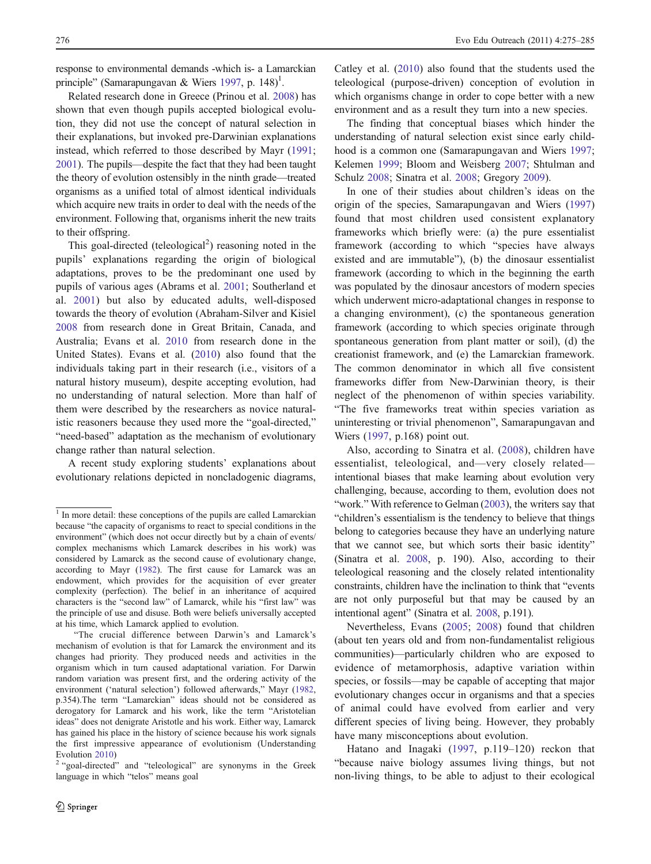response to environmental demands -which is- a Lamarckian principle" (Samarapungavan & Wiers [1997,](#page-10-0) p. 148)<sup>1</sup>.

Related research done in Greece (Prinou et al. [2008\)](#page-10-0) has shown that even though pupils accepted biological evolution, they did not use the concept of natural selection in their explanations, but invoked pre-Darwinian explanations instead, which referred to those described by Mayr [\(1991](#page-10-0); [2001\)](#page-10-0). The pupils—despite the fact that they had been taught the theory of evolution ostensibly in the ninth grade—treated organisms as a unified total of almost identical individuals which acquire new traits in order to deal with the needs of the environment. Following that, organisms inherit the new traits to their offspring.

This goal-directed (teleological<sup>2</sup>) reasoning noted in the pupils' explanations regarding the origin of biological adaptations, proves to be the predominant one used by pupils of various ages (Abrams et al. [2001;](#page-9-0) Southerland et al. [2001\)](#page-10-0) but also by educated adults, well-disposed towards the theory of evolution (Abraham-Silver and Kisiel [2008](#page-9-0) from research done in Great Britain, Canada, and Australia; Evans et al. [2010](#page-10-0) from research done in the United States). Evans et al. [\(2010](#page-10-0)) also found that the individuals taking part in their research (i.e., visitors of a natural history museum), despite accepting evolution, had no understanding of natural selection. More than half of them were described by the researchers as novice naturalistic reasoners because they used more the "goal-directed," "need-based" adaptation as the mechanism of evolutionary change rather than natural selection.

A recent study exploring students' explanations about evolutionary relations depicted in noncladogenic diagrams,

Catley et al. ([2010\)](#page-10-0) also found that the students used the teleological (purpose-driven) conception of evolution in which organisms change in order to cope better with a new environment and as a result they turn into a new species.

The finding that conceptual biases which hinder the understanding of natural selection exist since early childhood is a common one (Samarapungavan and Wiers [1997;](#page-10-0) Kelemen [1999;](#page-10-0) Bloom and Weisberg [2007;](#page-10-0) Shtulman and Schulz [2008](#page-10-0); Sinatra et al. [2008;](#page-10-0) Gregory [2009\)](#page-10-0).

In one of their studies about children's ideas on the origin of the species, Samarapungavan and Wiers [\(1997](#page-10-0)) found that most children used consistent explanatory frameworks which briefly were: (a) the pure essentialist framework (according to which "species have always existed and are immutable"), (b) the dinosaur essentialist framework (according to which in the beginning the earth was populated by the dinosaur ancestors of modern species which underwent micro-adaptational changes in response to a changing environment), (c) the spontaneous generation framework (according to which species originate through spontaneous generation from plant matter or soil), (d) the creationist framework, and (e) the Lamarckian framework. The common denominator in which all five consistent frameworks differ from New-Darwinian theory, is their neglect of the phenomenon of within species variability. "The five frameworks treat within species variation as uninteresting or trivial phenomenon", Samarapungavan and Wiers ([1997,](#page-10-0) p.168) point out.

Also, according to Sinatra et al. [\(2008\)](#page-10-0), children have essentialist, teleological, and—very closely related intentional biases that make learning about evolution very challenging, because, according to them, evolution does not "work." With reference to Gelman [\(2003\)](#page-10-0), the writers say that "children's essentialism is the tendency to believe that things belong to categories because they have an underlying nature that we cannot see, but which sorts their basic identity" (Sinatra et al. [2008,](#page-10-0) p. 190). Also, according to their teleological reasoning and the closely related intentionality constraints, children have the inclination to think that "events are not only purposeful but that may be caused by an intentional agent" (Sinatra et al. [2008](#page-10-0), p.191).

Nevertheless, Evans [\(2005](#page-10-0); [2008\)](#page-10-0) found that children (about ten years old and from non-fundamentalist religious communities)—particularly children who are exposed to evidence of metamorphosis, adaptive variation within species, or fossils—may be capable of accepting that major evolutionary changes occur in organisms and that a species of animal could have evolved from earlier and very different species of living being. However, they probably have many misconceptions about evolution.

Hatano and Inagaki ([1997](#page-10-0), p.119–120) reckon that "because naive biology assumes living things, but not non-living things, to be able to adjust to their ecological

<sup>&</sup>lt;sup>1</sup> In more detail: these conceptions of the pupils are called Lamarckian because "the capacity of organisms to react to special conditions in the environment" (which does not occur directly but by a chain of events/ complex mechanisms which Lamarck describes in his work) was considered by Lamarck as the second cause of evolutionary change, according to Mayr ([1982\)](#page-10-0). The first cause for Lamarck was an endowment, which provides for the acquisition of ever greater complexity (perfection). The belief in an inheritance of acquired characters is the "second law" of Lamarck, while his "first law" was the principle of use and disuse. Both were beliefs universally accepted at his time, which Lamarck applied to evolution.

<sup>&</sup>quot;The crucial difference between Darwin's and Lamarck's mechanism of evolution is that for Lamarck the environment and its changes had priority. They produced needs and activities in the organism which in turn caused adaptational variation. For Darwin random variation was present first, and the ordering activity of the environment ('natural selection') followed afterwards," Mayr [\(1982](#page-10-0), p.354).The term "Lamarckian" ideas should not be considered as derogatory for Lamarck and his work, like the term "Aristotelian ideas" does not denigrate Aristotle and his work. Either way, Lamarck has gained his place in the history of science because his work signals the first impressive appearance of evolutionism (Understanding Evolution [2010\)](#page-10-0)

<sup>&</sup>lt;sup>2</sup> "goal-directed" and "teleological" are synonyms in the Greek language in which "telos" means goal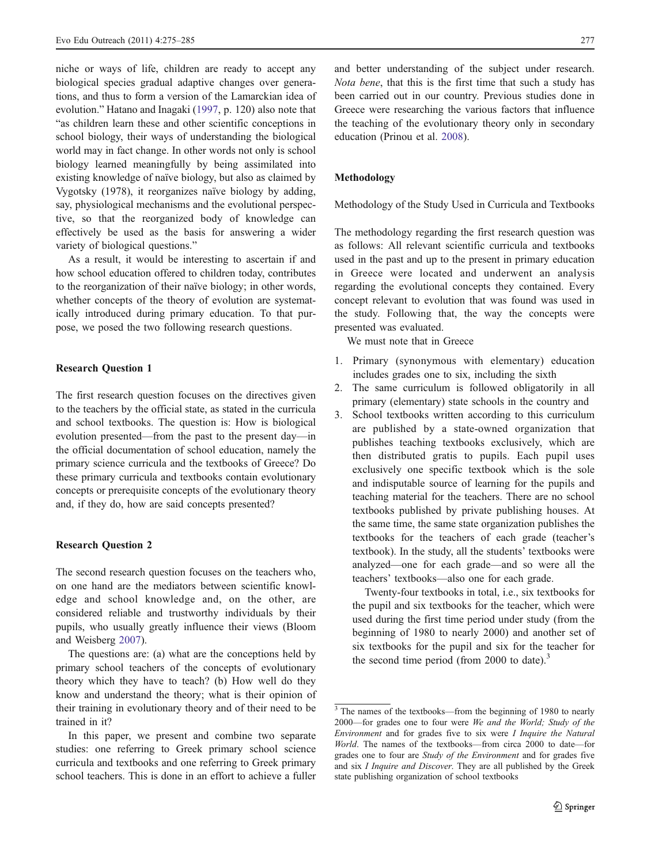niche or ways of life, children are ready to accept any biological species gradual adaptive changes over generations, and thus to form a version of the Lamarckian idea of evolution." Hatano and Inagaki ([1997,](#page-10-0) p. 120) also note that "as children learn these and other scientific conceptions in school biology, their ways of understanding the biological world may in fact change. In other words not only is school biology learned meaningfully by being assimilated into existing knowledge of naïve biology, but also as claimed by Vygotsky (1978), it reorganizes naïve biology by adding, say, physiological mechanisms and the evolutional perspective, so that the reorganized body of knowledge can effectively be used as the basis for answering a wider variety of biological questions."

As a result, it would be interesting to ascertain if and how school education offered to children today, contributes to the reorganization of their naïve biology; in other words, whether concepts of the theory of evolution are systematically introduced during primary education. To that purpose, we posed the two following research questions.

## Research Question 1

The first research question focuses on the directives given to the teachers by the official state, as stated in the curricula and school textbooks. The question is: How is biological evolution presented—from the past to the present day—in the official documentation of school education, namely the primary science curricula and the textbooks of Greece? Do these primary curricula and textbooks contain evolutionary concepts or prerequisite concepts of the evolutionary theory and, if they do, how are said concepts presented?

#### Research Question 2

The second research question focuses on the teachers who, on one hand are the mediators between scientific knowledge and school knowledge and, on the other, are considered reliable and trustworthy individuals by their pupils, who usually greatly influence their views (Bloom and Weisberg [2007\)](#page-10-0).

The questions are: (a) what are the conceptions held by primary school teachers of the concepts of evolutionary theory which they have to teach? (b) How well do they know and understand the theory; what is their opinion of their training in evolutionary theory and of their need to be trained in it?

In this paper, we present and combine two separate studies: one referring to Greek primary school science curricula and textbooks and one referring to Greek primary school teachers. This is done in an effort to achieve a fuller

and better understanding of the subject under research. Nota bene, that this is the first time that such a study has been carried out in our country. Previous studies done in Greece were researching the various factors that influence the teaching of the evolutionary theory only in secondary education (Prinou et al. [2008](#page-10-0)).

## Methodology

Methodology of the Study Used in Curricula and Textbooks

The methodology regarding the first research question was as follows: All relevant scientific curricula and textbooks used in the past and up to the present in primary education in Greece were located and underwent an analysis regarding the evolutional concepts they contained. Every concept relevant to evolution that was found was used in the study. Following that, the way the concepts were presented was evaluated.

We must note that in Greece

- 1. Primary (synonymous with elementary) education includes grades one to six, including the sixth
- 2. The same curriculum is followed obligatorily in all primary (elementary) state schools in the country and
- 3. School textbooks written according to this curriculum are published by a state-owned organization that publishes teaching textbooks exclusively, which are then distributed gratis to pupils. Each pupil uses exclusively one specific textbook which is the sole and indisputable source of learning for the pupils and teaching material for the teachers. There are no school textbooks published by private publishing houses. At the same time, the same state organization publishes the textbooks for the teachers of each grade (teacher's textbook). In the study, all the students' textbooks were analyzed—one for each grade—and so were all the teachers' textbooks—also one for each grade.

Twenty-four textbooks in total, i.e., six textbooks for the pupil and six textbooks for the teacher, which were used during the first time period under study (from the beginning of 1980 to nearly 2000) and another set of six textbooks for the pupil and six for the teacher for the second time period (from 2000 to date).<sup>3</sup>

<sup>&</sup>lt;sup>3</sup> The names of the textbooks—from the beginning of 1980 to nearly 2000—for grades one to four were We and the World; Study of the Environment and for grades five to six were I Inquire the Natural World. The names of the textbooks—from circa 2000 to date—for grades one to four are Study of the Environment and for grades five and six I Inquire and Discover. They are all published by the Greek state publishing organization of school textbooks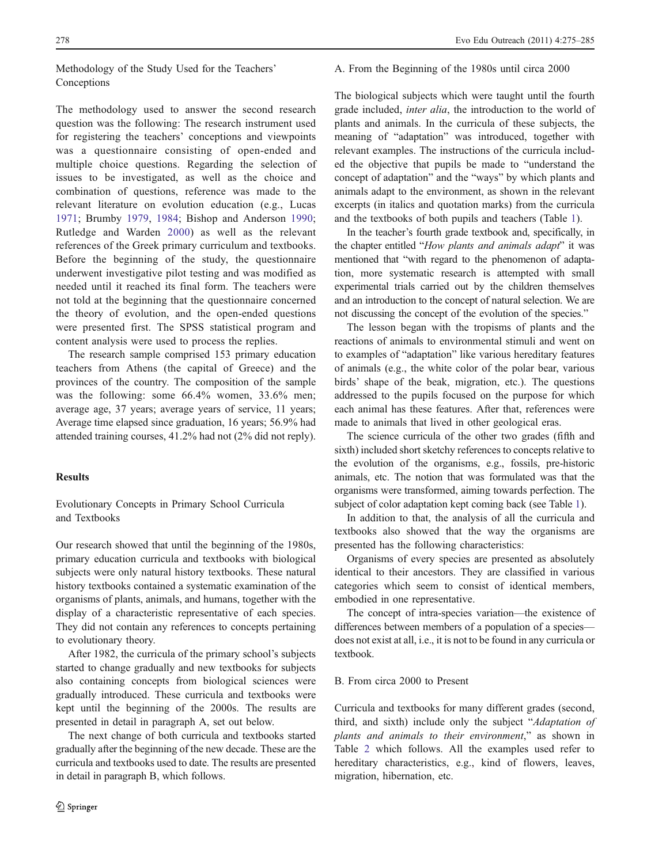# Methodology of the Study Used for the Teachers' Conceptions

The methodology used to answer the second research question was the following: The research instrument used for registering the teachers' conceptions and viewpoints was a questionnaire consisting of open-ended and multiple choice questions. Regarding the selection of issues to be investigated, as well as the choice and combination of questions, reference was made to the relevant literature on evolution education (e.g., Lucas [1971](#page-10-0); Brumby [1979](#page-10-0), [1984](#page-10-0); Bishop and Anderson [1990](#page-10-0); Rutledge and Warden [2000](#page-10-0)) as well as the relevant references of the Greek primary curriculum and textbooks. Before the beginning of the study, the questionnaire underwent investigative pilot testing and was modified as needed until it reached its final form. The teachers were not told at the beginning that the questionnaire concerned the theory of evolution, and the open-ended questions were presented first. The SPSS statistical program and content analysis were used to process the replies.

The research sample comprised 153 primary education teachers from Athens (the capital of Greece) and the provinces of the country. The composition of the sample was the following: some 66.4% women, 33.6% men; average age, 37 years; average years of service, 11 years; Average time elapsed since graduation, 16 years; 56.9% had attended training courses, 41.2% had not (2% did not reply).

## **Results**

# Evolutionary Concepts in Primary School Curricula and Textbooks

Our research showed that until the beginning of the 1980s, primary education curricula and textbooks with biological subjects were only natural history textbooks. These natural history textbooks contained a systematic examination of the organisms of plants, animals, and humans, together with the display of a characteristic representative of each species. They did not contain any references to concepts pertaining to evolutionary theory.

After 1982, the curricula of the primary school's subjects started to change gradually and new textbooks for subjects also containing concepts from biological sciences were gradually introduced. These curricula and textbooks were kept until the beginning of the 2000s. The results are presented in detail in paragraph A, set out below.

The next change of both curricula and textbooks started gradually after the beginning of the new decade. These are the curricula and textbooks used to date. The results are presented in detail in paragraph B, which follows.

#### Α. From the Beginning of the 1980s until circa 2000

The biological subjects which were taught until the fourth grade included, inter alia, the introduction to the world of plants and animals. In the curricula of these subjects, the meaning of "adaptation" was introduced, together with relevant examples. The instructions of the curricula included the objective that pupils be made to "understand the concept of adaptation" and the "ways" by which plants and animals adapt to the environment, as shown in the relevant excerpts (in italics and quotation marks) from the curricula and the textbooks of both pupils and teachers (Table [1](#page-4-0)).

In the teacher's fourth grade textbook and, specifically, in the chapter entitled "How plants and animals adapt" it was mentioned that "with regard to the phenomenon of adaptation, more systematic research is attempted with small experimental trials carried out by the children themselves and an introduction to the concept of natural selection. We are not discussing the concept of the evolution of the species."

The lesson began with the tropisms of plants and the reactions of animals to environmental stimuli and went on to examples of "adaptation" like various hereditary features of animals (e.g., the white color of the polar bear, various birds' shape of the beak, migration, etc.). The questions addressed to the pupils focused on the purpose for which each animal has these features. After that, references were made to animals that lived in other geological eras.

The science curricula of the other two grades (fifth and sixth) included short sketchy references to concepts relative to the evolution of the organisms, e.g., fossils, pre-historic animals, etc. The notion that was formulated was that the organisms were transformed, aiming towards perfection. The subject of color adaptation kept coming back (see Table [1](#page-4-0)).

In addition to that, the analysis of all the curricula and textbooks also showed that the way the organisms are presented has the following characteristics:

Organisms of every species are presented as absolutely identical to their ancestors. They are classified in various categories which seem to consist of identical members, embodied in one representative.

The concept of intra-species variation—the existence of differences between members of a population of a species does not exist at all, i.e., it is not to be found in any curricula or textbook.

## Β. From circa 2000 to Present

Curricula and textbooks for many different grades (second, third, and sixth) include only the subject "Adaptation of plants and animals to their environment," as shown in Table [2](#page-5-0) which follows. All the examples used refer to hereditary characteristics, e.g., kind of flowers, leaves, migration, hibernation, etc.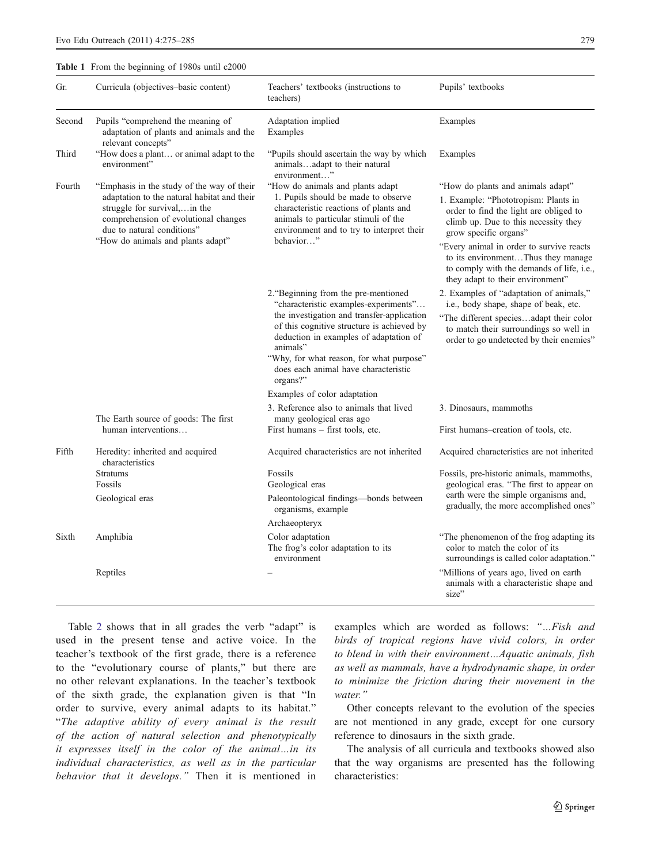#### <span id="page-4-0"></span>Table 1 From the beginning of 1980s until c2000

| Gr.    | Curricula (objectives–basic content)                                                                                                                                                                                                 | Teachers' textbooks (instructions to<br>teachers)                                                                                                                                                                                                                                                                               | Pupils' textbooks                                                                                                                                                                                                                                                                                                                                       |  |
|--------|--------------------------------------------------------------------------------------------------------------------------------------------------------------------------------------------------------------------------------------|---------------------------------------------------------------------------------------------------------------------------------------------------------------------------------------------------------------------------------------------------------------------------------------------------------------------------------|---------------------------------------------------------------------------------------------------------------------------------------------------------------------------------------------------------------------------------------------------------------------------------------------------------------------------------------------------------|--|
| Second | Pupils "comprehend the meaning of<br>adaptation of plants and animals and the<br>relevant concepts"                                                                                                                                  | Adaptation implied<br>Examples                                                                                                                                                                                                                                                                                                  | Examples                                                                                                                                                                                                                                                                                                                                                |  |
| Third  | "How does a plant or animal adapt to the<br>environment"                                                                                                                                                                             | "Pupils should ascertain the way by which<br>animalsadapt to their natural<br>environment"                                                                                                                                                                                                                                      | Examples                                                                                                                                                                                                                                                                                                                                                |  |
| Fourth | "Emphasis in the study of the way of their<br>adaptation to the natural habitat and their<br>struggle for survival,in the<br>comprehension of evolutional changes<br>due to natural conditions"<br>"How do animals and plants adapt" | "How do animals and plants adapt<br>1. Pupils should be made to observe<br>characteristic reactions of plants and<br>animals to particular stimuli of the<br>environment and to try to interpret their<br>behavior"                                                                                                             | "How do plants and animals adapt"<br>1. Example: "Phototropism: Plants in<br>order to find the light are obliged to<br>climb up. Due to this necessity they<br>grow specific organs"<br>"Every animal in order to survive reacts<br>to its environmentThus they manage<br>to comply with the demands of life, i.e.,<br>they adapt to their environment" |  |
|        |                                                                                                                                                                                                                                      | 2. "Beginning from the pre-mentioned<br>"characteristic examples-experiments"<br>the investigation and transfer-application<br>of this cognitive structure is achieved by<br>deduction in examples of adaptation of<br>animals"<br>"Why, for what reason, for what purpose"<br>does each animal have characteristic<br>organs?" | 2. Examples of "adaptation of animals,"<br>i.e., body shape, shape of beak, etc.<br>"The different speciesadapt their color<br>to match their surroundings so well in<br>order to go undetected by their enemies"                                                                                                                                       |  |
|        |                                                                                                                                                                                                                                      | Examples of color adaptation                                                                                                                                                                                                                                                                                                    |                                                                                                                                                                                                                                                                                                                                                         |  |
|        | The Earth source of goods: The first<br>human interventions                                                                                                                                                                          | 3. Reference also to animals that lived<br>many geological eras ago<br>First humans – first tools, etc.                                                                                                                                                                                                                         | 3. Dinosaurs, mammoths<br>First humans–creation of tools, etc.                                                                                                                                                                                                                                                                                          |  |
| Fifth  | Heredity: inherited and acquired<br>characteristics                                                                                                                                                                                  | Acquired characteristics are not inherited                                                                                                                                                                                                                                                                                      | Acquired characteristics are not inherited                                                                                                                                                                                                                                                                                                              |  |
|        | <b>Stratums</b><br>Fossils<br>Geological eras                                                                                                                                                                                        | Fossils<br>Geological eras<br>Paleontological findings-bonds between<br>organisms, example<br>Archaeopteryx                                                                                                                                                                                                                     | Fossils, pre-historic animals, mammoths,<br>geological eras. "The first to appear on<br>earth were the simple organisms and,<br>gradually, the more accomplished ones"                                                                                                                                                                                  |  |
| Sixth  | Amphibia                                                                                                                                                                                                                             | Color adaptation<br>The frog's color adaptation to its<br>environment                                                                                                                                                                                                                                                           | "The phenomenon of the frog adapting its<br>color to match the color of its<br>surroundings is called color adaptation."                                                                                                                                                                                                                                |  |
|        | Reptiles                                                                                                                                                                                                                             |                                                                                                                                                                                                                                                                                                                                 | "Millions of years ago, lived on earth<br>animals with a characteristic shape and<br>size"                                                                                                                                                                                                                                                              |  |

Table [2](#page-5-0) shows that in all grades the verb "adapt" is used in the present tense and active voice. In the teacher's textbook of the first grade, there is a reference to the "evolutionary course of plants," but there are no other relevant explanations. In the teacher's textbook of the sixth grade, the explanation given is that "In order to survive, every animal adapts to its habitat." "The adaptive ability of every animal is the result of the action of natural selection and phenotypically it expresses itself in the color of the animal…in its individual characteristics, as well as in the particular behavior that it develops." Then it is mentioned in examples which are worded as follows: "…Fish and birds of tropical regions have vivid colors, in order to blend in with their environment…Aquatic animals, fish as well as mammals, have a hydrodynamic shape, in order to minimize the friction during their movement in the water."

Other concepts relevant to the evolution of the species are not mentioned in any grade, except for one cursory reference to dinosaurs in the sixth grade.

The analysis of all curricula and textbooks showed also that the way organisms are presented has the following characteristics: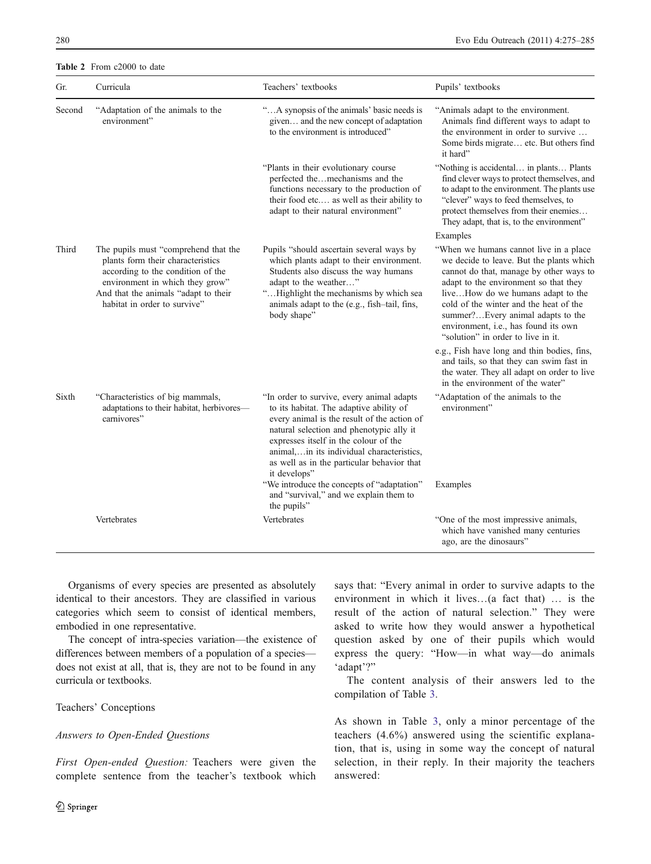<span id="page-5-0"></span>Table 2 From c2000 to date

| Gr.    | Curricula                                                                                                                                                                                                                 | Teachers' textbooks                                                                                                                                                                                                                                                                                                                  | Pupils' textbooks                                                                                                                                                                                                                                                                                                                                                        |  |  |
|--------|---------------------------------------------------------------------------------------------------------------------------------------------------------------------------------------------------------------------------|--------------------------------------------------------------------------------------------------------------------------------------------------------------------------------------------------------------------------------------------------------------------------------------------------------------------------------------|--------------------------------------------------------------------------------------------------------------------------------------------------------------------------------------------------------------------------------------------------------------------------------------------------------------------------------------------------------------------------|--|--|
| Second | "Adaptation of the animals to the<br>environment"                                                                                                                                                                         | "A synopsis of the animals' basic needs is<br>given and the new concept of adaptation<br>to the environment is introduced"                                                                                                                                                                                                           | "Animals adapt to the environment.<br>Animals find different ways to adapt to<br>the environment in order to survive<br>Some birds migrate etc. But others find<br>it hard"                                                                                                                                                                                              |  |  |
|        |                                                                                                                                                                                                                           | "Plants in their evolutionary course<br>perfected themechanisms and the<br>functions necessary to the production of<br>their food etc as well as their ability to<br>adapt to their natural environment"                                                                                                                             | "Nothing is accidental in plants Plants"<br>find clever ways to protect themselves, and<br>to adapt to the environment. The plants use<br>"clever" ways to feed themselves, to<br>protect themselves from their enemies<br>They adapt, that is, to the environment"<br>Examples                                                                                          |  |  |
| Third  | The pupils must "comprehend that the<br>plants form their characteristics<br>according to the condition of the<br>environment in which they grow"<br>And that the animals "adapt to their<br>habitat in order to survive" | Pupils "should ascertain several ways by<br>which plants adapt to their environment.<br>Students also discuss the way humans<br>adapt to the weather"<br>" Highlight the mechanisms by which sea<br>animals adapt to the (e.g., fish-tail, fins,<br>body shape"                                                                      | "When we humans cannot live in a place<br>we decide to leave. But the plants which<br>cannot do that, manage by other ways to<br>adapt to the environment so that they<br>liveHow do we humans adapt to the<br>cold of the winter and the heat of the<br>summer?Every animal adapts to the<br>environment, i.e., has found its own<br>"solution" in order to live in it. |  |  |
|        |                                                                                                                                                                                                                           |                                                                                                                                                                                                                                                                                                                                      | e.g., Fish have long and thin bodies, fins,<br>and tails, so that they can swim fast in<br>the water. They all adapt on order to live<br>in the environment of the water"                                                                                                                                                                                                |  |  |
| Sixth  | "Characteristics of big mammals,<br>adaptations to their habitat, herbivores-<br>carnivores"                                                                                                                              | "In order to survive, every animal adapts<br>to its habitat. The adaptive ability of<br>every animal is the result of the action of<br>natural selection and phenotypic ally it<br>expresses itself in the colour of the<br>animal, in its individual characteristics,<br>as well as in the particular behavior that<br>it develops" | "Adaptation of the animals to the<br>environment"                                                                                                                                                                                                                                                                                                                        |  |  |
|        |                                                                                                                                                                                                                           | "We introduce the concepts of "adaptation"<br>and "survival," and we explain them to<br>the pupils"                                                                                                                                                                                                                                  | Examples                                                                                                                                                                                                                                                                                                                                                                 |  |  |
|        | Vertebrates                                                                                                                                                                                                               | Vertebrates                                                                                                                                                                                                                                                                                                                          | "One of the most impressive animals,<br>which have vanished many centuries<br>ago, are the dinosaurs"                                                                                                                                                                                                                                                                    |  |  |

Organisms of every species are presented as absolutely identical to their ancestors. They are classified in various categories which seem to consist of identical members, embodied in one representative.

The concept of intra-species variation—the existence of differences between members of a population of a species does not exist at all, that is, they are not to be found in any curricula or textbooks.

Teachers' Conceptions

## Answers to Open-Ended Questions

First Open-ended Question: Teachers were given the complete sentence from the teacher's textbook which says that: "Every animal in order to survive adapts to the environment in which it lives…(a fact that) … is the result of the action of natural selection." They were asked to write how they would answer a hypothetical question asked by one of their pupils which would express the query: "How—in what way—do animals 'adapt'?"

The content analysis of their answers led to the compilation of Table [3](#page-6-0).

As shown in Table [3](#page-6-0), only a minor percentage of the teachers (4.6%) answered using the scientific explanation, that is, using in some way the concept of natural selection, in their reply. In their majority the teachers answered: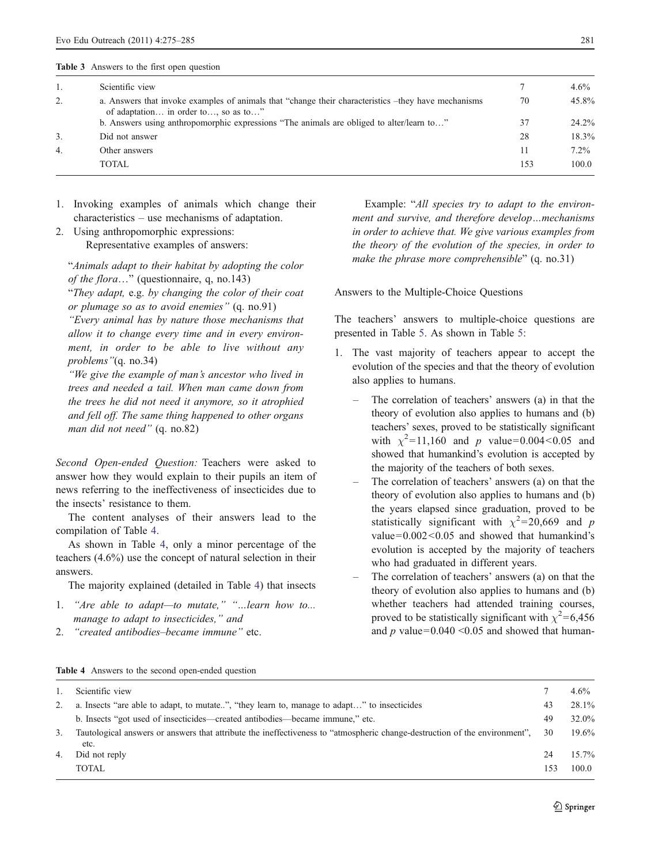#### <span id="page-6-0"></span>Table 3 Answers to the first open question

|                  | Scientific view                                                                                                                              |     | $4.6\%$ |
|------------------|----------------------------------------------------------------------------------------------------------------------------------------------|-----|---------|
| 2.               | a. Answers that invoke examples of animals that "change their characteristics -they have mechanisms"<br>of adaptation in order to, so as to" | 70  | 45.8%   |
|                  | b. Answers using anthropomorphic expressions "The animals are obliged to alter/learn to"                                                     | 37  | 24.2%   |
| 3.               | Did not answer                                                                                                                               | 28  | 18.3%   |
| $\overline{4}$ . | Other answers                                                                                                                                |     | $7.2\%$ |
|                  | TOTAL                                                                                                                                        | 153 | 100.0   |
|                  |                                                                                                                                              |     |         |

- 1. Invoking examples of animals which change their characteristics – use mechanisms of adaptation.
- 2. Using anthropomorphic expressions: Representative examples of answers:

"Animals adapt to their habitat by adopting the color

of the flora…" (questionnaire, q, no.143)

"They adapt, e.g. by changing the color of their coat or plumage so as to avoid enemies" (q. no.91)

"Every animal has by nature those mechanisms that allow it to change every time and in every environment, in order to be able to live without any problems"(q. no.34)

"We give the example of man's ancestor who lived in trees and needed a tail. When man came down from the trees he did not need it anymore, so it atrophied and fell off. The same thing happened to other organs man did not need" (q. no.82)

Second Open-ended Question: Teachers were asked to answer how they would explain to their pupils an item of news referring to the ineffectiveness of insecticides due to the insects' resistance to them.

The content analyses of their answers lead to the compilation of Table 4.

As shown in Table 4, only a minor percentage of the teachers (4.6%) use the concept of natural selection in their answers.

The majority explained (detailed in Table 4) that insects

- 1. "Are able to adapt—to mutate," "…learn how to... manage to adapt to insecticides," and
- 2. "created antibodies–became immune" etc.

Example: "All species try to adapt to the environment and survive, and therefore develop…mechanisms in order to achieve that. We give various examples from the theory of the evolution of the species, in order to make the phrase more comprehensible" (q. no.31)

#### Answers to the Multiple-Choice Questions

The teachers' answers to multiple-choice questions are presented in Table [5](#page-7-0). As shown in Table [5:](#page-7-0)

- 1. The vast majority of teachers appear to accept the evolution of the species and that the theory of evolution also applies to humans.
	- The correlation of teachers' answers (a) in that the theory of evolution also applies to humans and (b) teachers' sexes, proved to be statistically significant with  $\chi^2$ =11,160 and p value=0.004<0.05 and showed that humankind's evolution is accepted by the majority of the teachers of both sexes.
	- The correlation of teachers' answers (a) on that the theory of evolution also applies to humans and (b) the years elapsed since graduation, proved to be statistically significant with  $\chi^2$ =20,669 and p value=0.002<0.05 and showed that humankind's evolution is accepted by the majority of teachers who had graduated in different years.
	- The correlation of teachers' answers (a) on that the theory of evolution also applies to humans and (b) whether teachers had attended training courses, proved to be statistically significant with  $\chi^2$ =6,456 and  $p$  value=0.040 <0.05 and showed that human-

|    | Scientific view                                                                                                                    |     | $4.6\%$ |
|----|------------------------------------------------------------------------------------------------------------------------------------|-----|---------|
| 2. | a. Insects "are able to adapt, to mutate", "they learn to, manage to adapt" to insecticides                                        | 43  | 28.1%   |
|    | b. Insects "got used of insecticides—created antibodies—became immune," etc.                                                       | 49  | 32.0%   |
| 3. | Tautological answers or answers that attribute the ineffectiveness to "atmospheric change-destruction of the environment",<br>etc. | 30  | 19.6%   |
| 4. | Did not reply                                                                                                                      | 24  | 15.7%   |
|    | <b>TOTAL</b>                                                                                                                       | 153 | 100.0   |
|    |                                                                                                                                    |     |         |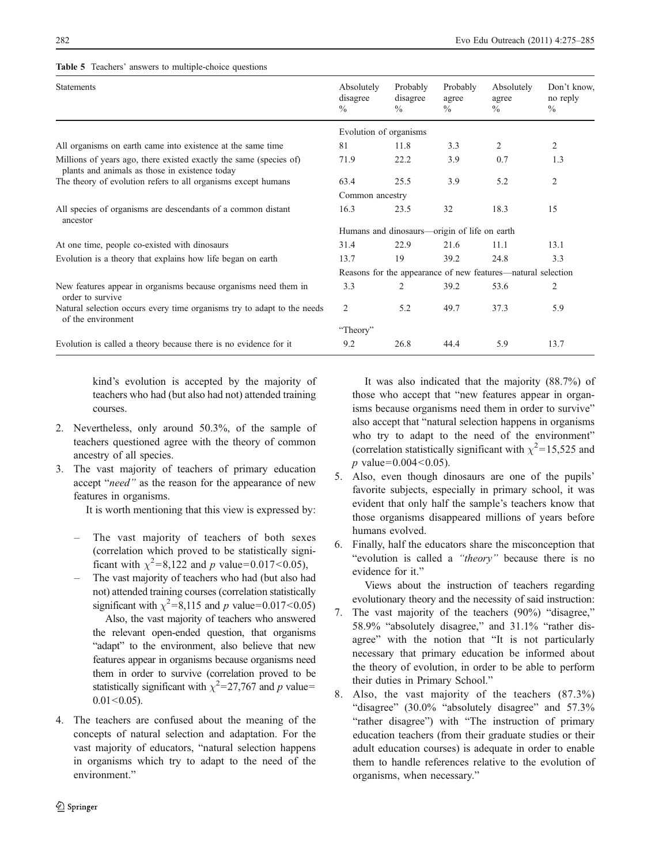#### <span id="page-7-0"></span>Table 5 Teachers' answers to multiple-choice questions

| <b>Statements</b>                                                                                                    | Absolutely<br>disagree<br>$\%$               | Probably<br>disagree<br>$\frac{0}{0}$                        | Probably<br>agree<br>$\frac{0}{0}$ | Absolutely<br>agree<br>$\frac{0}{0}$ | Don't know,<br>no reply<br>$\frac{0}{0}$ |
|----------------------------------------------------------------------------------------------------------------------|----------------------------------------------|--------------------------------------------------------------|------------------------------------|--------------------------------------|------------------------------------------|
|                                                                                                                      | Evolution of organisms                       |                                                              |                                    |                                      |                                          |
| All organisms on earth came into existence at the same time                                                          | 81                                           | 11.8                                                         | 3.3                                | 2                                    | $\overline{2}$                           |
| Millions of years ago, there existed exactly the same (species of)<br>plants and animals as those in existence today | 71.9                                         | 22.2                                                         | 3.9                                | 0.7                                  | 1.3                                      |
| The theory of evolution refers to all organisms except humans                                                        | 63.4                                         | 25.5                                                         | 3.9                                | 5.2                                  | $\overline{2}$                           |
|                                                                                                                      |                                              | Common ancestry                                              |                                    |                                      |                                          |
| All species of organisms are descendants of a common distant<br>ancestor                                             | 16.3                                         | 23.5                                                         | 32                                 | 18.3                                 | 15                                       |
|                                                                                                                      | Humans and dinosaurs—origin of life on earth |                                                              |                                    |                                      |                                          |
| At one time, people co-existed with dinosaurs                                                                        | 31.4                                         | 22.9                                                         | 21.6                               | 11.1                                 | 13.1                                     |
| Evolution is a theory that explains how life began on earth                                                          | 13.7                                         | 19                                                           | 39.2                               | 24.8                                 | 3.3                                      |
|                                                                                                                      |                                              | Reasons for the appearance of new features-natural selection |                                    |                                      |                                          |
| New features appear in organisms because organisms need them in<br>order to survive                                  | 3.3                                          | 2                                                            | 39.2                               | 53.6                                 | 2                                        |
| Natural selection occurs every time organisms try to adapt to the needs<br>of the environment                        | $\overline{2}$                               | 5.2                                                          | 49.7                               | 37.3                                 | 5.9                                      |
|                                                                                                                      | "Theory"                                     |                                                              |                                    |                                      |                                          |
| Evolution is called a theory because there is no evidence for it                                                     | 9.2                                          | 26.8                                                         | 44.4                               | 5.9                                  | 13.7                                     |

kind's evolution is accepted by the majority of teachers who had (but also had not) attended training courses.

- 2. Nevertheless, only around 50.3%, of the sample of teachers questioned agree with the theory of common ancestry of all species.
- 3. The vast majority of teachers of primary education accept "need" as the reason for the appearance of new features in organisms.

It is worth mentioning that this view is expressed by:

- The vast majority of teachers of both sexes (correlation which proved to be statistically significant with  $\chi^2 = 8,122$  and p value=0.017<0.05),
- The vast majority of teachers who had (but also had not) attended training courses (correlation statistically significant with  $\chi^2$ =8,115 and p value=0.017<0.05)

Also, the vast majority of teachers who answered the relevant open-ended question, that organisms "adapt" to the environment, also believe that new features appear in organisms because organisms need them in order to survive (correlation proved to be statistically significant with  $\chi^2$ =27,767 and p value=  $0.01 \le 0.05$ ).

4. The teachers are confused about the meaning of the concepts of natural selection and adaptation. For the vast majority of educators, "natural selection happens in organisms which try to adapt to the need of the environment."

It was also indicated that the majority (88.7%) of those who accept that "new features appear in organisms because organisms need them in order to survive" also accept that "natural selection happens in organisms who try to adapt to the need of the environment" (correlation statistically significant with  $\chi^2$ =15,525 and  $p$  value=0.004 < 0.05).

- 5. Also, even though dinosaurs are one of the pupils' favorite subjects, especially in primary school, it was evident that only half the sample's teachers know that those organisms disappeared millions of years before humans evolved.
- 6. Finally, half the educators share the misconception that "evolution is called a "theory" because there is no evidence for it."

Views about the instruction of teachers regarding evolutionary theory and the necessity of said instruction:

- 7. The vast majority of the teachers (90%) "disagree," 58.9% "absolutely disagree," and 31.1% "rather disagree" with the notion that "It is not particularly necessary that primary education be informed about the theory of evolution, in order to be able to perform their duties in Primary School."
- 8. Also, the vast majority of the teachers (87.3%) "disagree" (30.0% "absolutely disagree" and 57.3% "rather disagree") with "The instruction of primary education teachers (from their graduate studies or their adult education courses) is adequate in order to enable them to handle references relative to the evolution of organisms, when necessary."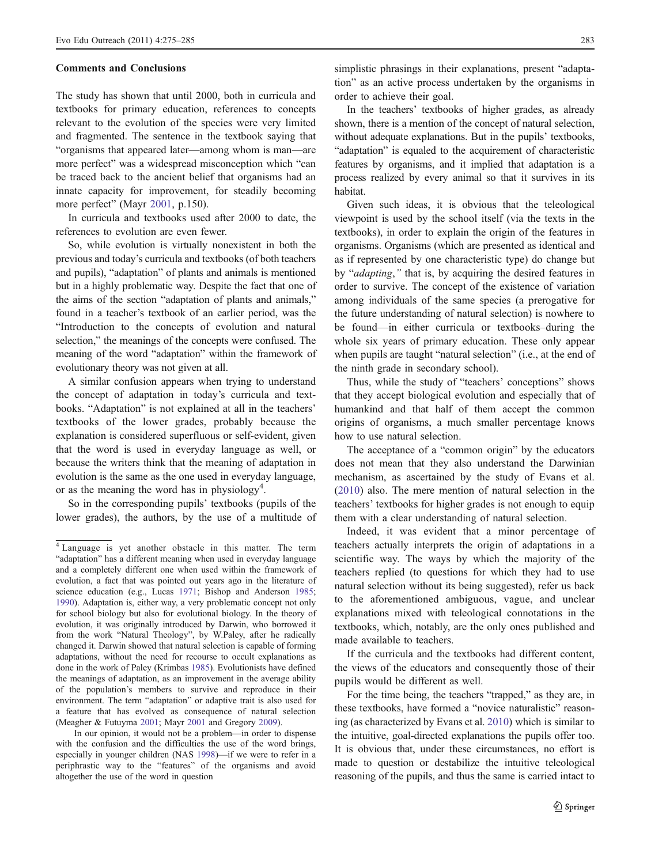#### Comments and Conclusions

The study has shown that until 2000, both in curricula and textbooks for primary education, references to concepts relevant to the evolution of the species were very limited and fragmented. The sentence in the textbook saying that "organisms that appeared later—among whom is man—are more perfect" was a widespread misconception which "can be traced back to the ancient belief that organisms had an innate capacity for improvement, for steadily becoming more perfect" (Mayr [2001](#page-10-0), p.150).

In curricula and textbooks used after 2000 to date, the references to evolution are even fewer.

So, while evolution is virtually nonexistent in both the previous and today's curricula and textbooks (of both teachers and pupils), "adaptation" of plants and animals is mentioned but in a highly problematic way. Despite the fact that one of the aims of the section "adaptation of plants and animals," found in a teacher's textbook of an earlier period, was the "Introduction to the concepts of evolution and natural selection," the meanings of the concepts were confused. The meaning of the word "adaptation" within the framework of evolutionary theory was not given at all.

A similar confusion appears when trying to understand the concept of adaptation in today's curricula and textbooks. "Adaptation" is not explained at all in the teachers' textbooks of the lower grades, probably because the explanation is considered superfluous or self-evident, given that the word is used in everyday language as well, or because the writers think that the meaning of adaptation in evolution is the same as the one used in everyday language, or as the meaning the word has in physiology<sup>4</sup>.

So in the corresponding pupils' textbooks (pupils of the lower grades), the authors, by the use of a multitude of

simplistic phrasings in their explanations, present "adaptation" as an active process undertaken by the organisms in order to achieve their goal.

In the teachers' textbooks of higher grades, as already shown, there is a mention of the concept of natural selection, without adequate explanations. But in the pupils' textbooks, "adaptation" is equaled to the acquirement of characteristic features by organisms, and it implied that adaptation is a process realized by every animal so that it survives in its habitat.

Given such ideas, it is obvious that the teleological viewpoint is used by the school itself (via the texts in the textbooks), in order to explain the origin of the features in organisms. Organisms (which are presented as identical and as if represented by one characteristic type) do change but by "adapting," that is, by acquiring the desired features in order to survive. The concept of the existence of variation among individuals of the same species (a prerogative for the future understanding of natural selection) is nowhere to be found—in either curricula or textbooks–during the whole six years of primary education. These only appear when pupils are taught "natural selection" (i.e., at the end of the ninth grade in secondary school).

Thus, while the study of "teachers' conceptions" shows that they accept biological evolution and especially that of humankind and that half of them accept the common origins of organisms, a much smaller percentage knows how to use natural selection.

The acceptance of a "common origin" by the educators does not mean that they also understand the Darwinian mechanism, as ascertained by the study of Evans et al. [\(2010](#page-10-0)) also. The mere mention of natural selection in the teachers' textbooks for higher grades is not enough to equip them with a clear understanding of natural selection.

Indeed, it was evident that a minor percentage of teachers actually interprets the origin of adaptations in a scientific way. The ways by which the majority of the teachers replied (to questions for which they had to use natural selection without its being suggested), refer us back to the aforementioned ambiguous, vague, and unclear explanations mixed with teleological connotations in the textbooks, which, notably, are the only ones published and made available to teachers.

If the curricula and the textbooks had different content, the views of the educators and consequently those of their pupils would be different as well.

For the time being, the teachers "trapped," as they are, in these textbooks, have formed a "novice naturalistic" reasoning (as characterized by Evans et al. [2010\)](#page-10-0) which is similar to the intuitive, goal-directed explanations the pupils offer too. It is obvious that, under these circumstances, no effort is made to question or destabilize the intuitive teleological reasoning of the pupils, and thus the same is carried intact to

<sup>4</sup> Language is yet another obstacle in this matter. The term "adaptation" has a different meaning when used in everyday language and a completely different one when used within the framework of evolution, a fact that was pointed out years ago in the literature of science education (e.g., Lucas [1971;](#page-10-0) Bishop and Anderson [1985;](#page-10-0) [1990\)](#page-10-0). Adaptation is, either way, a very problematic concept not only for school biology but also for evolutional biology. In the theory of evolution, it was originally introduced by Darwin, who borrowed it from the work "Natural Theology", by W.Paley, after he radically changed it. Darwin showed that natural selection is capable of forming adaptations, without the need for recourse to occult explanations as done in the work of Paley (Krimbas [1985\)](#page-10-0). Evolutionists have defined the meanings of adaptation, as an improvement in the average ability of the population's members to survive and reproduce in their environment. The term "adaptation" or adaptive trait is also used for a feature that has evolved as consequence of natural selection (Meagher & Futuyma [2001](#page-10-0); Mayr [2001](#page-10-0) and Gregory [2009\)](#page-10-0).

In our opinion, it would not be a problem—in order to dispense with the confusion and the difficulties the use of the word brings, especially in younger children (ΝΑS [1998](#page-10-0))—if we were to refer in a periphrastic way to the "features" of the organisms and avoid altogether the use of the word in question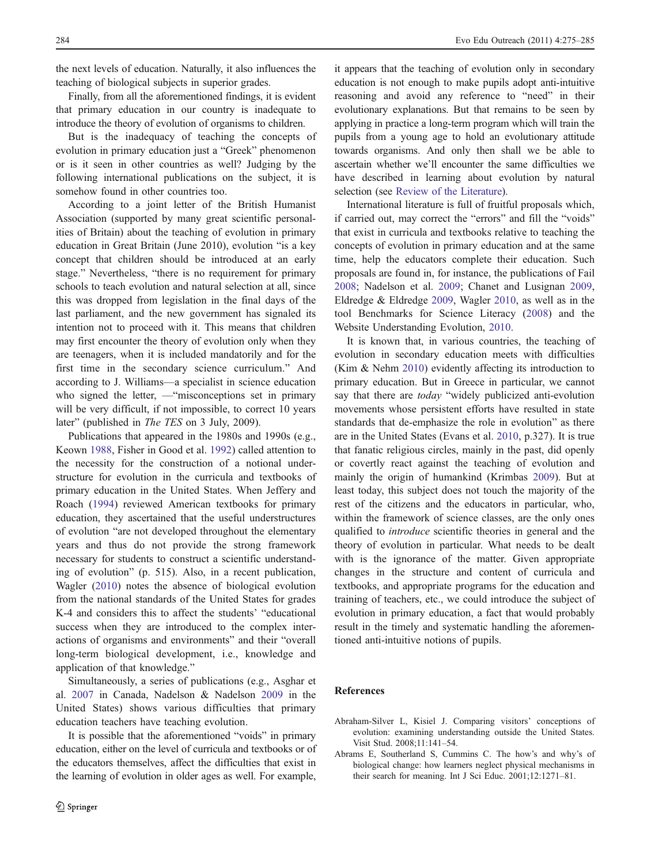<span id="page-9-0"></span>the next levels of education. Naturally, it also influences the teaching of biological subjects in superior grades.

Finally, from all the aforementioned findings, it is evident that primary education in our country is inadequate to introduce the theory of evolution of organisms to children.

But is the inadequacy of teaching the concepts of evolution in primary education just a "Greek" phenomenon or is it seen in other countries as well? Judging by the following international publications on the subject, it is somehow found in other countries too.

According to a joint letter of the British Humanist Association (supported by many great scientific personalities of Britain) about the teaching of evolution in primary education in Great Britain (June 2010), evolution "is a key concept that children should be introduced at an early stage." Nevertheless, "there is no requirement for primary schools to teach evolution and natural selection at all, since this was dropped from legislation in the final days of the last parliament, and the new government has signaled its intention not to proceed with it. This means that children may first encounter the theory of evolution only when they are teenagers, when it is included mandatorily and for the first time in the secondary science curriculum." And according to J. Williams—a specialist in science education who signed the letter, —"misconceptions set in primary will be very difficult, if not impossible, to correct 10 years later" (published in *The TES* on 3 July, 2009).

Publications that appeared in the 1980s and 1990s (e.g., Κeown [1988](#page-10-0), Fisher in Good et al. [1992](#page-10-0)) called attention to the necessity for the construction of a notional understructure for evolution in the curricula and textbooks of primary education in the United States. When Jeffery and Roach ([1994\)](#page-10-0) reviewed American textbooks for primary education, they ascertained that the useful understructures of evolution "are not developed throughout the elementary years and thus do not provide the strong framework necessary for students to construct a scientific understanding of evolution" (p. 515). Also, in a recent publication, Wagler [\(2010](#page-10-0)) notes the absence of biological evolution from the national standards of the United States for grades Κ-4 and considers this to affect the students' "educational success when they are introduced to the complex interactions of organisms and environments" and their "overall long-term biological development, i.e., knowledge and application of that knowledge."

Simultaneously, a series of publications (e.g., Asghar et al. [2007](#page-10-0) in Canada, Nadelson & Nadelson [2009](#page-10-0) in the United States) shows various difficulties that primary education teachers have teaching evolution.

It is possible that the aforementioned "voids" in primary education, either on the level of curricula and textbooks or of the educators themselves, affect the difficulties that exist in the learning of evolution in older ages as well. For example,

it appears that the teaching of evolution only in secondary education is not enough to make pupils adopt anti-intuitive reasoning and avoid any reference to "need" in their evolutionary explanations. But that remains to be seen by applying in practice a long-term program which will train the pupils from a young age to hold an evolutionary attitude towards organisms. And only then shall we be able to ascertain whether we'll encounter the same difficulties we have described in learning about evolution by natural selection (see [Review of the Literature](#page-0-0)).

International literature is full of fruitful proposals which, if carried out, may correct the "errors" and fill the "voids" that exist in curricula and textbooks relative to teaching the concepts of evolution in primary education and at the same time, help the educators complete their education. Such proposals are found in, for instance, the publications of Fail [2008](#page-10-0); Nadelson et al. [2009](#page-10-0); Chanet and Lusignan [2009,](#page-10-0) Eldredge & Eldredge [2009,](#page-10-0) Wagler [2010](#page-10-0), as well as in the tool Benchmarks for Science Literacy ([2008\)](#page-10-0) and the Website Understanding Evolution, [2010](#page-10-0).

It is known that, in various countries, the teaching of evolution in secondary education meets with difficulties (Κim & Nehm [2010](#page-10-0)) evidently affecting its introduction to primary education. But in Greece in particular, we cannot say that there are *today* "widely publicized anti-evolution movements whose persistent efforts have resulted in state standards that de-emphasize the role in evolution" as there are in the United States (Evans et al. [2010,](#page-10-0) p.327). It is true that fanatic religious circles, mainly in the past, did openly or covertly react against the teaching of evolution and mainly the origin of humankind (Krimbas [2009\)](#page-10-0). But at least today, this subject does not touch the majority of the rest of the citizens and the educators in particular, who, within the framework of science classes, are the only ones qualified to introduce scientific theories in general and the theory of evolution in particular. What needs to be dealt with is the ignorance of the matter. Given appropriate changes in the structure and content of curricula and textbooks, and appropriate programs for the education and training of teachers, etc., we could introduce the subject of evolution in primary education, a fact that would probably result in the timely and systematic handling the aforementioned anti-intuitive notions of pupils.

## References

- Abraham-Silver L, Kisiel J. Comparing visitors' conceptions of evolution: examining understanding outside the United States. Visit Stud. 2008;11:141–54.
- Abrams E, Southerland S, Cummins C. The how's and why's of biological change: how learners neglect physical mechanisms in their search for meaning. Int J Sci Educ. 2001;12:1271–81.